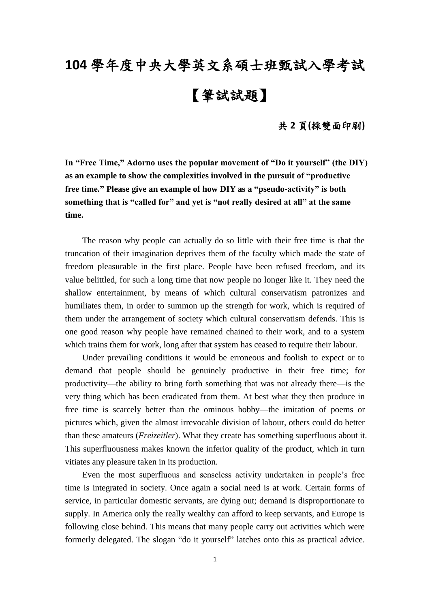## **104** 學年度中央大學英文系碩士班甄試入學考試 【筆試試題】

## 共 **2** 頁**(**採雙面印刷**)**

**In "Free Time," Adorno uses the popular movement of "Do it yourself" (the DIY) as an example to show the complexities involved in the pursuit of "productive free time." Please give an example of how DIY as a "pseudo-activity" is both something that is "called for" and yet is "not really desired at all" at the same time.**

The reason why people can actually do so little with their free time is that the truncation of their imagination deprives them of the faculty which made the state of freedom pleasurable in the first place. People have been refused freedom, and its value belittled, for such a long time that now people no longer like it. They need the shallow entertainment, by means of which cultural conservatism patronizes and humiliates them, in order to summon up the strength for work, which is required of them under the arrangement of society which cultural conservatism defends. This is one good reason why people have remained chained to their work, and to a system which trains them for work, long after that system has ceased to require their labour.

Under prevailing conditions it would be erroneous and foolish to expect or to demand that people should be genuinely productive in their free time; for productivity—the ability to bring forth something that was not already there—is the very thing which has been eradicated from them. At best what they then produce in free time is scarcely better than the ominous hobby—the imitation of poems or pictures which, given the almost irrevocable division of labour, others could do better than these amateurs (*Freizeitler*). What they create has something superfluous about it. This superfluousness makes known the inferior quality of the product, which in turn vitiates any pleasure taken in its production.

Even the most superfluous and senseless activity undertaken in people's free time is integrated in society. Once again a social need is at work. Certain forms of service, in particular domestic servants, are dying out; demand is disproportionate to supply. In America only the really wealthy can afford to keep servants, and Europe is following close behind. This means that many people carry out activities which were formerly delegated. The slogan "do it yourself" latches onto this as practical advice.